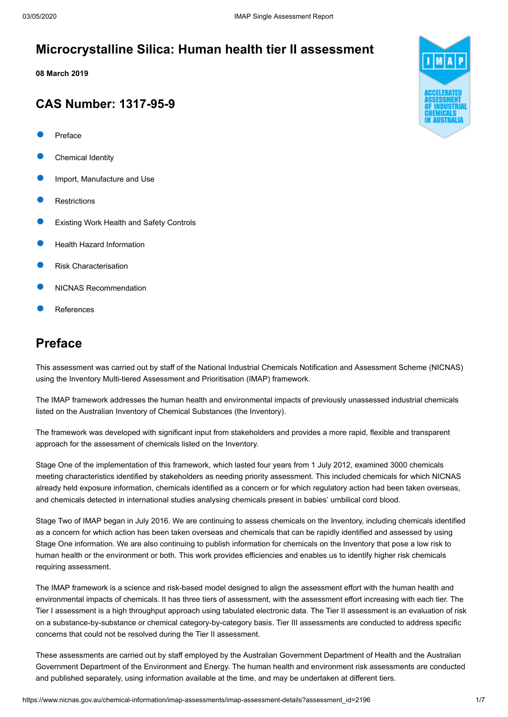# **Microcrystalline Silica: Human health tier II assessment**

**08 March 2019**

# **CAS Number: 1317-95-9**

- [Preface](#page-0-0)
- [Chemical Identity](#page-1-0)
- [Import, Manufacture and Use](#page-1-1)
- **[Restrictions](#page-2-0)**
- [Existing Work Health and Safety Controls](#page-2-1)
- [Health Hazard Information](#page-2-2)
- [Risk Characterisation](#page-3-0)
- [NICNAS Recommendation](#page-4-0)
- [References](#page-5-0)

# <span id="page-0-0"></span>**Preface**

This assessment was carried out by staff of the National Industrial Chemicals Notification and Assessment Scheme (NICNAS) using the Inventory Multi-tiered Assessment and Prioritisation (IMAP) framework.

The IMAP framework addresses the human health and environmental impacts of previously unassessed industrial chemicals listed on the Australian Inventory of Chemical Substances (the Inventory).

The framework was developed with significant input from stakeholders and provides a more rapid, flexible and transparent approach for the assessment of chemicals listed on the Inventory.

Stage One of the implementation of this framework, which lasted four years from 1 July 2012, examined 3000 chemicals meeting characteristics identified by stakeholders as needing priority assessment. This included chemicals for which NICNAS already held exposure information, chemicals identified as a concern or for which regulatory action had been taken overseas, and chemicals detected in international studies analysing chemicals present in babies' umbilical cord blood.

Stage Two of IMAP began in July 2016. We are continuing to assess chemicals on the Inventory, including chemicals identified as a concern for which action has been taken overseas and chemicals that can be rapidly identified and assessed by using Stage One information. We are also continuing to publish information for chemicals on the Inventory that pose a low risk to human health or the environment or both. This work provides efficiencies and enables us to identify higher risk chemicals requiring assessment.

The IMAP framework is a science and risk-based model designed to align the assessment effort with the human health and environmental impacts of chemicals. It has three tiers of assessment, with the assessment effort increasing with each tier. The Tier I assessment is a high throughput approach using tabulated electronic data. The Tier II assessment is an evaluation of risk on a substance-by-substance or chemical category-by-category basis. Tier III assessments are conducted to address specific concerns that could not be resolved during the Tier II assessment.

These assessments are carried out by staff employed by the Australian Government Department of Health and the Australian Government Department of the Environment and Energy. The human health and environment risk assessments are conducted and published separately, using information available at the time, and may be undertaken at different tiers.

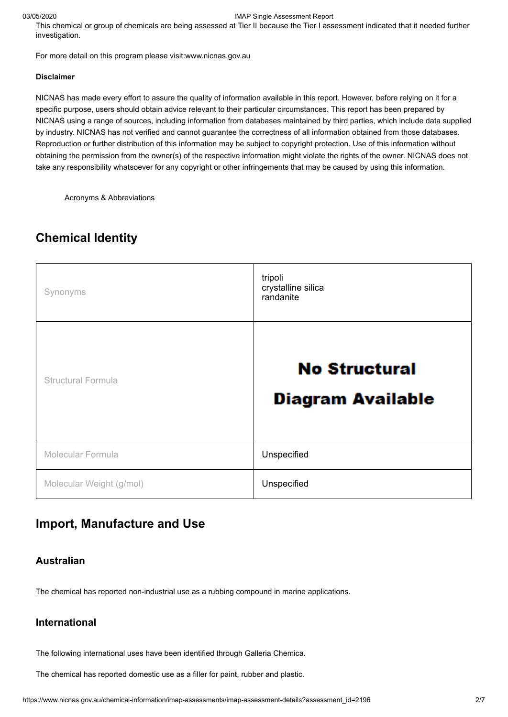#### 03/05/2020 IMAP Single Assessment Report

This chemical or group of chemicals are being assessed at Tier II because the Tier I assessment indicated that it needed further investigation.

For more detail on this program please visit[:www.nicnas.gov.au](https://www.nicnas.gov.au/home)

#### **Disclaimer**

NICNAS has made every effort to assure the quality of information available in this report. However, before relying on it for a specific purpose, users should obtain advice relevant to their particular circumstances. This report has been prepared by NICNAS using a range of sources, including information from databases maintained by third parties, which include data supplied by industry. NICNAS has not verified and cannot guarantee the correctness of all information obtained from those databases. Reproduction or further distribution of this information may be subject to copyright protection. Use of this information without obtaining the permission from the owner(s) of the respective information might violate the rights of the owner. NICNAS does not take any responsibility whatsoever for any copyright or other infringements that may be caused by using this information.

[Acronyms & Abbreviations](https://www.nicnas.gov.au/glossary)

# <span id="page-1-0"></span>**Chemical Identity**

| Synonyms                  | tripoli<br>crystalline silica<br>randanite       |  |
|---------------------------|--------------------------------------------------|--|
| <b>Structural Formula</b> | <b>No Structural</b><br><b>Diagram Available</b> |  |
| Molecular Formula         | Unspecified                                      |  |
| Molecular Weight (g/mol)  | Unspecified                                      |  |

# <span id="page-1-1"></span>**Import, Manufacture and Use**

### **Australian**

The chemical has reported non-industrial use as a rubbing compound in marine applications.

### **International**

The following international uses have been identified through Galleria Chemica.

The chemical has reported domestic use as a filler for paint, rubber and plastic.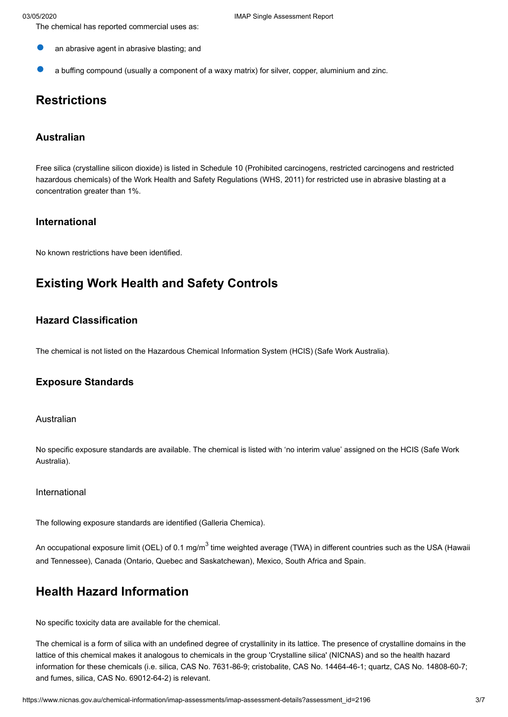- The chemical has reported commercial uses as:
- an abrasive agent in abrasive blasting; and
- a buffing compound (usually a component of a waxy matrix) for silver, copper, aluminium and zinc.

# <span id="page-2-0"></span>**Restrictions**

### **Australian**

Free silica (crystalline silicon dioxide) is listed in Schedule 10 (Prohibited carcinogens, restricted carcinogens and restricted hazardous chemicals) of the Work Health and Safety Regulations (WHS, 2011) for restricted use in abrasive blasting at a concentration greater than 1%.

### **International**

No known restrictions have been identified.

# <span id="page-2-1"></span>**Existing Work Health and Safety Controls**

## **Hazard Classification**

The chemical is not listed on the Hazardous Chemical Information System (HCIS) (Safe Work Australia).

### **Exposure Standards**

Australian

No specific exposure standards are available. The chemical is listed with 'no interim value' assigned on the HCIS (Safe Work Australia).

#### International

The following exposure standards are identified (Galleria Chemica).

An occupational exposure limit (OEL) of 0.1 mg/m<sup>3</sup> time weighted average (TWA) in different countries such as the USA (Hawaii and Tennessee), Canada (Ontario, Quebec and Saskatchewan), Mexico, South Africa and Spain.

# <span id="page-2-2"></span>**Health Hazard Information**

No specific toxicity data are available for the chemical.

The chemical is a form of silica with an undefined degree of crystallinity in its lattice. The presence of crystalline domains in the lattice of this chemical makes it analogous to chemicals in the group 'Crystalline silica' (NICNAS) and so the health hazard information for these chemicals (i.e. silica, CAS No. 7631-86-9; cristobalite, CAS No. 14464-46-1; quartz, CAS No. 14808-60-7; and fumes, silica, CAS No. 69012-64-2) is relevant.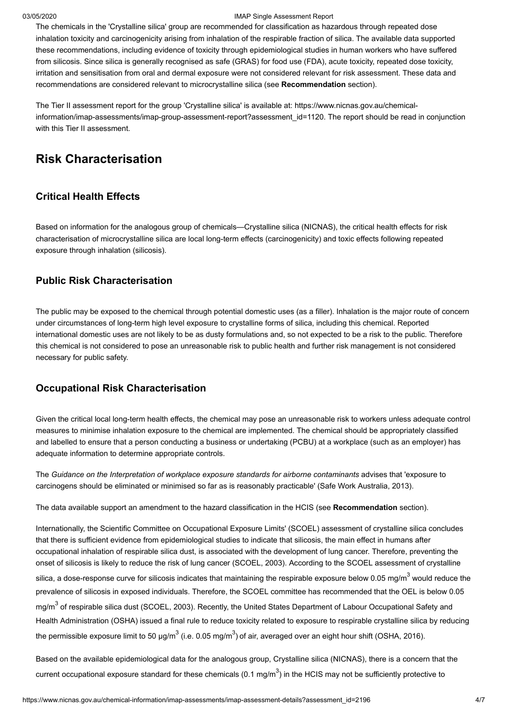#### 03/05/2020 IMAP Single Assessment Report

The chemicals in the 'Crystalline silica' group are recommended for classification as hazardous through repeated dose inhalation toxicity and carcinogenicity arising from inhalation of the respirable fraction of silica. The available data supported these recommendations, including evidence of toxicity through epidemiological studies in human workers who have suffered from silicosis. Since silica is generally recognised as safe (GRAS) for food use (FDA), acute toxicity, repeated dose toxicity, irritation and sensitisation from oral and dermal exposure were not considered relevant for risk assessment. These data and recommendations are considered relevant to microcrystalline silica (see **Recommendation** section).

The Tier II assessment report for the group 'Crystalline silica' is available at: https://www.nicnas.gov.au/chemicalinformation/imap-assessments/imap-group-assessment-report?assessment id=1120. The report should be read in conjunction with this Tier II assessment.

# <span id="page-3-0"></span>**Risk Characterisation**

### **Critical Health Effects**

Based on information for the analogous group of chemicals—Crystalline silica (NICNAS), the critical health effects for risk characterisation of microcrystalline silica are local long-term effects (carcinogenicity) and toxic effects following repeated exposure through inhalation (silicosis).

# **Public Risk Characterisation**

The public may be exposed to the chemical through potential domestic uses (as a filler). Inhalation is the major route of concern under circumstances of long-term high level exposure to crystalline forms of silica, including this chemical. Reported international domestic uses are not likely to be as dusty formulations and, so not expected to be a risk to the public. Therefore this chemical is not considered to pose an unreasonable risk to public health and further risk management is not considered necessary for public safety.

### **Occupational Risk Characterisation**

Given the critical local long-term health effects, the chemical may pose an unreasonable risk to workers unless adequate control measures to minimise inhalation exposure to the chemical are implemented. The chemical should be appropriately classified and labelled to ensure that a person conducting a business or undertaking (PCBU) at a workplace (such as an employer) has adequate information to determine appropriate controls.

The *Guidance on the Interpretation of workplace exposure standards for airborne contaminants* advises that 'exposure to carcinogens should be eliminated or minimised so far as is reasonably practicable' (Safe Work Australia, 2013).

The data available support an amendment to the hazard classification in the HCIS (see **Recommendation** section).

Internationally, the Scientific Committee on Occupational Exposure Limits' (SCOEL) assessment of crystalline silica concludes that there is sufficient evidence from epidemiological studies to indicate that silicosis, the main effect in humans after occupational inhalation of respirable silica dust, is associated with the development of lung cancer. Therefore, preventing the onset of silicosis is likely to reduce the risk of lung cancer (SCOEL, 2003). According to the SCOEL assessment of crystalline silica, a dose-response curve for silicosis indicates that maintaining the respirable exposure below 0.05 mg/m<sup>3</sup> would reduce the prevalence of silicosis in exposed individuals. Therefore, the SCOEL committee has recommended that the OEL is below 0.05 mg/m<sup>3</sup> of respirable silica dust (SCOEL, 2003). Recently, the United States Department of Labour Occupational Safety and Health Administration (OSHA) issued a final rule to reduce toxicity related to exposure to respirable crystalline silica by reducing the permissible exposure limit to 50  $\mu q/m^3$  (i.e. 0.05 mg/m<sup>3</sup>) of air, averaged over an eight hour shift (OSHA, 2016).

Based on the available epidemiological data for the analogous group, Crystalline silica (NICNAS), there is a concern that the current occupational exposure standard for these chemicals  $(0.1 \text{ mg/m}^3)$  in the HCIS may not be sufficiently protective to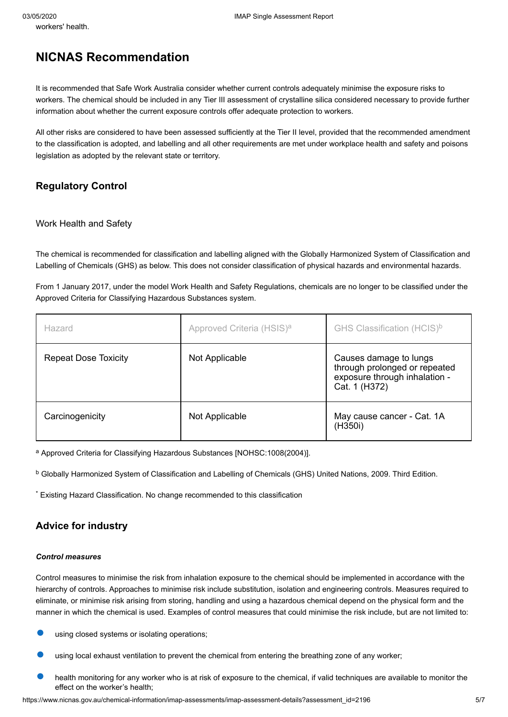# <span id="page-4-0"></span>**NICNAS Recommendation**

It is recommended that Safe Work Australia consider whether current controls adequately minimise the exposure risks to workers. The chemical should be included in any Tier III assessment of crystalline silica considered necessary to provide further information about whether the current exposure controls offer adequate protection to workers.

All other risks are considered to have been assessed sufficiently at the Tier II level, provided that the recommended amendment to the classification is adopted, and labelling and all other requirements are met under workplace health and safety and poisons legislation as adopted by the relevant state or territory.

# **Regulatory Control**

### Work Health and Safety

The chemical is recommended for classification and labelling aligned with the Globally Harmonized System of Classification and Labelling of Chemicals (GHS) as below. This does not consider classification of physical hazards and environmental hazards.

From 1 January 2017, under the model Work Health and Safety Regulations, chemicals are no longer to be classified under the Approved Criteria for Classifying Hazardous Substances system.

| Hazard                      | Approved Criteria (HSIS) <sup>a</sup> | GHS Classification (HCIS) <sup>b</sup>                                                                    |
|-----------------------------|---------------------------------------|-----------------------------------------------------------------------------------------------------------|
| <b>Repeat Dose Toxicity</b> | Not Applicable                        | Causes damage to lungs<br>through prolonged or repeated<br>exposure through inhalation -<br>Cat. 1 (H372) |
| Carcinogenicity             | Not Applicable                        | May cause cancer - Cat. 1A<br>(H350i)                                                                     |

<sup>a</sup> Approved Criteria for Classifying Hazardous Substances [NOHSC:1008(2004)].

 $^{\rm b}$  Globally Harmonized System of Classification and Labelling of Chemicals (GHS) United Nations, 2009. Third Edition.

Existing Hazard Classification. No change recommended to this classification \*

## **Advice for industry**

#### *Control measures*

Control measures to minimise the risk from inhalation exposure to the chemical should be implemented in accordance with the hierarchy of controls. Approaches to minimise risk include substitution, isolation and engineering controls. Measures required to eliminate, or minimise risk arising from storing, handling and using a hazardous chemical depend on the physical form and the manner in which the chemical is used. Examples of control measures that could minimise the risk include, but are not limited to:

- using closed systems or isolating operations;
- using local exhaust ventilation to prevent the chemical from entering the breathing zone of any worker;
- health monitoring for any worker who is at risk of exposure to the chemical, if valid techniques are available to monitor the effect on the worker's health;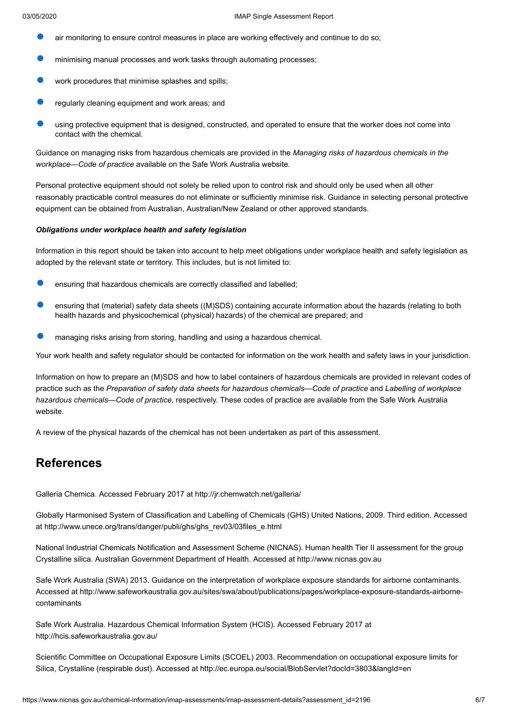- air monitoring to ensure control measures in place are working effectively and continue to do so;
- minimising manual processes and work tasks through automating processes;
- work procedures that minimise splashes and spills:
- regularly cleaning equipment and work areas; and
- using protective equipment that is designed, constructed, and operated to ensure that the worker does not come into contact with the chemical.

Guidance on managing risks from hazardous chemicals are provided in the *Managing risks of hazardous chemicals in the workplace—Code of practice* available on the Safe Work Australia website.

Personal protective equipment should not solely be relied upon to control risk and should only be used when all other reasonably practicable control measures do not eliminate or sufficiently minimise risk. Guidance in selecting personal protective equipment can be obtained from Australian, Australian/New Zealand or other approved standards.

#### *Obligations under workplace health and safety legislation*

Information in this report should be taken into account to help meet obligations under workplace health and safety legislation as adopted by the relevant state or territory. This includes, but is not limited to:

- ensuring that hazardous chemicals are correctly classified and labelled;
- ensuring that (material) safety data sheets ((M)SDS) containing accurate information about the hazards (relating to both health hazards and physicochemical (physical) hazards) of the chemical are prepared; and
- managing risks arising from storing, handling and using a hazardous chemical.

Your work health and safety regulator should be contacted for information on the work health and safety laws in your jurisdiction.

Information on how to prepare an (M)SDS and how to label containers of hazardous chemicals are provided in relevant codes of practice such as the *Preparation of safety data sheets for hazardous chemicals—Code of practice* and *Labelling of workplace hazardous chemicals—Code of practice*, respectively. These codes of practice are available from the Safe Work Australia website.

A review of the physical hazards of the chemical has not been undertaken as part of this assessment.

# <span id="page-5-0"></span>**References**

Galleria Chemica. Accessed February 2017 at <http://jr.chemwatch.net/galleria/>

Globally Harmonised System of Classification and Labelling of Chemicals (GHS) United Nations, 2009. Third edition. Accessed at [http://www.unece.org/trans/danger/publi/ghs/ghs\\_rev03/03files\\_e.html](http://www.unece.org/trans/danger/publi/ghs/ghs_rev03/03files_e.html)

National Industrial Chemicals Notification and Assessment Scheme (NICNAS). Human health Tier II assessment for the group Crystalline silica. Australian Government Department of Health. Accessed at [http://www.nicnas.gov.au](http://www.nicnas.gov.au/)

Safe Work Australia (SWA) 2013. Guidance on the interpretation of workplace exposure standards for airborne contaminants. [Accessed at http://www.safeworkaustralia.gov.au/sites/swa/about/publications/pages/workplace-exposure-standards-airborne](http://www.safeworkaustralia.gov.au/sites/swa/about/publications/pages/workplace-exposure-standards-airborne-contaminants)contaminants

Safe Work Australia. Hazardous Chemical Information System (HCIS). Accessed February 2017 at <http://hcis.safeworkaustralia.gov.au/>

Scientific Committee on Occupational Exposure Limits (SCOEL) 2003. Recommendation on occupational exposure limits for Silica, Crystalline (respirable dust). Accessed at <http://ec.europa.eu/social/BlobServlet?docId=3803&langId=en>